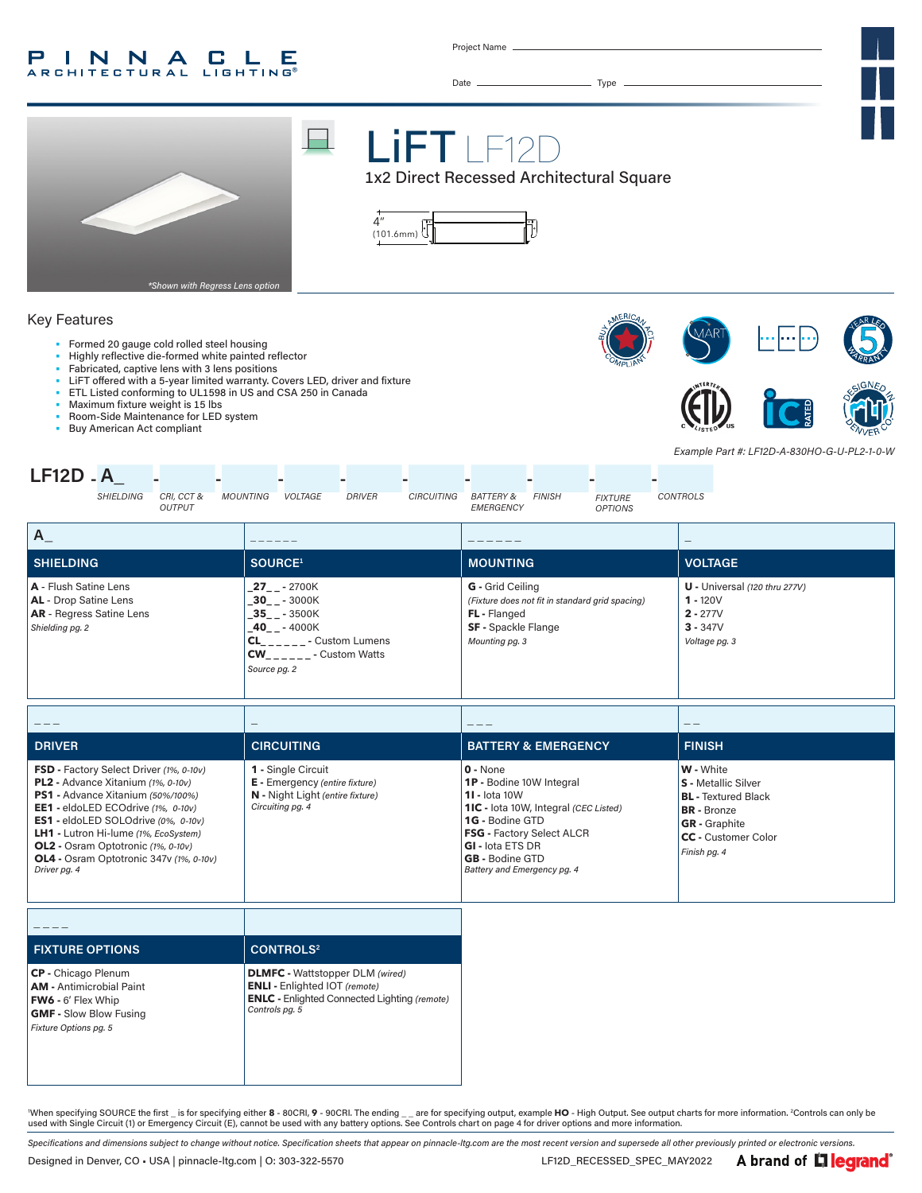#### INNA  $\mathbf{L}$ P C Е **ARCHITECTURAL LIGHTING®**

Project Name

Date Type



## Key Features

- Formed 20 gauge cold rolled steel housing
- Highly reflective die-formed white painted reflector
- Fabricated, captive lens with 3 lens positions
- LiFT offered with a 5-year limited warranty. Covers LED, driver and fixture
- ETL Listed conforming to UL1598 in US and CSA 250 in Canada
- Maximum fixture weight is 15 lbs
- Room-Side Maintenance for LED system<br>• Buy American Act compliant









*Example Part #: LF12D-A-830HO-G-U-PL2-1-0-W*



| <b>SHIELDING</b>                                                                                            | SOURCE <sup>1</sup>                                                                                                                                                                        | <b>MOUNTING</b>                                                                                                                            | <b>VOLTAGE</b>                                                                             |
|-------------------------------------------------------------------------------------------------------------|--------------------------------------------------------------------------------------------------------------------------------------------------------------------------------------------|--------------------------------------------------------------------------------------------------------------------------------------------|--------------------------------------------------------------------------------------------|
| A - Flush Satine Lens<br><b>AL</b> - Drop Satine Lens<br><b>AR</b> - Regress Satine Lens<br>Shielding pg. 2 | $27 - 2700K$<br>$-30$ <sub>-</sub> $-3000K$<br>$-35$ <sub>--</sub> $-3500K$<br>$-40$ <sub>--</sub> $-4000K$<br><b>CL</b><br>- Custom Lumens<br><b>CW</b><br>- Custom Watts<br>Source pg. 2 | <b>G</b> - Grid Ceiling<br>(Fixture does not fit in standard grid spacing)<br>FL - Flanged<br><b>SF</b> - Spackle Flange<br>Mounting pg. 3 | $U$ - Universal (120 thru 277V)<br>$1 - 120V$<br>$2 - 277V$<br>$3 - 347V$<br>Voltage pg. 3 |

| $- - -$                                                                                                                                                                                                                                                                                                                                                | $\overline{\phantom{a}}$                                                                                            |                                                                                                                                                                                                                                                           | - -                                                                                                                                                        |
|--------------------------------------------------------------------------------------------------------------------------------------------------------------------------------------------------------------------------------------------------------------------------------------------------------------------------------------------------------|---------------------------------------------------------------------------------------------------------------------|-----------------------------------------------------------------------------------------------------------------------------------------------------------------------------------------------------------------------------------------------------------|------------------------------------------------------------------------------------------------------------------------------------------------------------|
| DRIVER                                                                                                                                                                                                                                                                                                                                                 | <b>CIRCUITING</b>                                                                                                   | <b>BATTERY &amp; EMERGENCY</b>                                                                                                                                                                                                                            | <b>FINISH</b>                                                                                                                                              |
| <b>FSD</b> - Factory Select Driver (1%, 0-10v)<br>PL2 - Advance Xitanium (1%, 0-10v)<br>PS1 - Advance Xitanium (50%/100%)<br>EE1 - eldoLED ECOdrive (1%, 0-10v)<br>ES1 - eldoLED SOLOdrive (0%, 0-10v)<br>LH1 - Lutron Hi-lume (1%, EcoSystem)<br><b>OL2</b> - Osram Optotronic (1%, 0-10v)<br>OL4 - Osram Optotronic 347v (1%, 0-10v)<br>Driver pg. 4 | 1 - Single Circuit<br><b>E</b> - Emergency (entire fixture)<br>N - Night Light (entire fixture)<br>Circuiting pg. 4 | $0 - None$<br>1P - Bodine 10W Integral<br><b>11 - lota 10W</b><br><b>1IC</b> - lota 10W, Integral (CEC Listed)<br>1G - Bodine GTD<br><b>FSG</b> - Factory Select ALCR<br><b>GI - lota ETS DR</b><br><b>GB</b> - Bodine GTD<br>Battery and Emergency pg. 4 | W - White<br><b>S</b> - Metallic Silver<br><b>BL</b> - Textured Black<br><b>BR</b> - Bronze<br><b>GR</b> - Graphite<br>CC - Customer Color<br>Finish pg. 4 |

| <b>FIXTURE OPTIONS</b>                                                                                                                               | <b>CONTROLS<sup>2</sup></b>                                                                                                                             |
|------------------------------------------------------------------------------------------------------------------------------------------------------|---------------------------------------------------------------------------------------------------------------------------------------------------------|
| <b>CP</b> - Chicago Plenum<br><b>AM</b> - Antimicrobial Paint<br><b>FW6</b> - 6' Flex Whip<br><b>GMF - Slow Blow Fusing</b><br>Fixture Options pg. 5 | <b>DLMFC</b> - Wattstopper DLM (wired)<br><b>ENLI</b> - Enlighted IOT (remote)<br><b>ENLC</b> - Enlighted Connected Lighting (remote)<br>Controls pg. 5 |

When specifying SOURCE the first \_ is for specifying either 8 - 80CRI, 9 - 90CRI. The ending \_ \_ are for specifying output, example HO - High Output. See output charts for more information. <sup>2</sup>Controls can only be used with Single Circuit (1) or Emergency Circuit (E), cannot be used with any battery options. See Controls chart on page 4 for driver options and more information.

*Specifications and dimensions subject to change without notice. Specification sheets that appear on pinnacle-ltg.com are the most recent version and supersede all other previously printed or electronic versions.* Designed in Denver, CO • USA | pinnacle-ltg.com | O: 303-322-5570 LE12D\_RECESSED\_SPEC\_MAY2022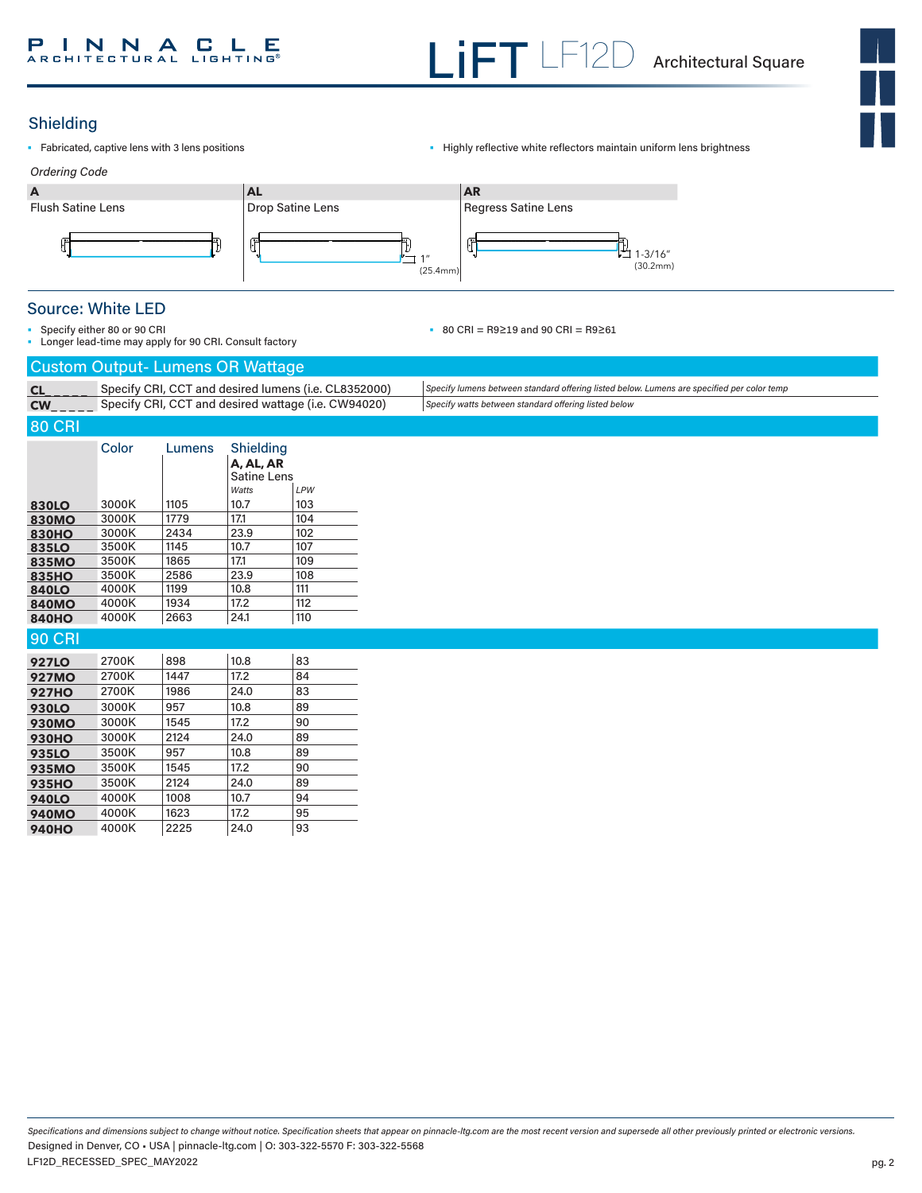## Shielding

- 
- Fabricated, captive lens with 3 lens positions Highly reflective white reflectors maintain uniform lens brightness



## Source: White LED

• Specify either 80 or 90 CRI • Longer lead-time may apply for 90 CRI. Consult factory • 80 CRI = R9≥19 and 90 CRI = R9≥61

|               | <b>Custom Output- Lumens OR Wattage</b> |        |                                                       |                                                      |  |                                                                                            |
|---------------|-----------------------------------------|--------|-------------------------------------------------------|------------------------------------------------------|--|--------------------------------------------------------------------------------------------|
| CL            |                                         |        |                                                       | Specify CRI, CCT and desired lumens (i.e. CL8352000) |  | Specify lumens between standard offering listed below. Lumens are specified per color temp |
| CW            |                                         |        |                                                       | Specify CRI, CCT and desired wattage (i.e. CW94020)  |  | Specify watts between standard offering listed below                                       |
| <b>80 CRI</b> |                                         |        |                                                       |                                                      |  |                                                                                            |
|               | Color                                   | Lumens | Shielding<br>A, AL, AR<br><b>Satine Lens</b><br>Watts | LPW                                                  |  |                                                                                            |
| 830LO         | 3000K                                   | 1105   | 10.7                                                  | 103                                                  |  |                                                                                            |
| <b>830MO</b>  | 3000K                                   | 1779   | 17.1                                                  | 104                                                  |  |                                                                                            |
| <b>830HO</b>  | 3000K                                   | 2434   | 23.9                                                  | 102                                                  |  |                                                                                            |
| 835LO         | 3500K                                   | 1145   | 10.7                                                  | 107                                                  |  |                                                                                            |
| <b>835MO</b>  | 3500K                                   | 1865   | 17.1                                                  | 109                                                  |  |                                                                                            |
| <b>835HO</b>  | 3500K                                   | 2586   | 23.9                                                  | 108                                                  |  |                                                                                            |
| <b>840LO</b>  | 4000K                                   | 1199   | 10.8                                                  | 111                                                  |  |                                                                                            |
| <b>840MO</b>  | 4000K                                   | 1934   | 17.2                                                  | 112                                                  |  |                                                                                            |
| <b>840HO</b>  | 4000K                                   | 2663   | 24.1                                                  | 110                                                  |  |                                                                                            |
| <b>90 CRI</b> |                                         |        |                                                       |                                                      |  |                                                                                            |
| <b>927LO</b>  | 2700K                                   | 898    | 10.8                                                  | 83                                                   |  |                                                                                            |
| <b>927MO</b>  | 2700K                                   | 1447   | 17.2                                                  | 84                                                   |  |                                                                                            |
| <b>927HO</b>  | 2700K                                   | 1986   | 24.0                                                  | 83                                                   |  |                                                                                            |
| <b>930LO</b>  | 3000K                                   | 957    | 10.8                                                  | 89                                                   |  |                                                                                            |
| <b>930MO</b>  | 3000K                                   | 1545   | 17.2                                                  | 90                                                   |  |                                                                                            |
| <b>930HO</b>  | 3000K                                   | 2124   | 24.0                                                  | 89                                                   |  |                                                                                            |
| <b>935LO</b>  | 3500K                                   | 957    | 10.8                                                  | 89                                                   |  |                                                                                            |
| <b>935MO</b>  | 3500K                                   | 1545   | 17.2                                                  | 90                                                   |  |                                                                                            |
| <b>935HO</b>  | 3500K                                   | 2124   | 24.0                                                  | 89                                                   |  |                                                                                            |
| <b>940LO</b>  | 4000K                                   | 1008   | 10.7                                                  | 94                                                   |  |                                                                                            |
| <b>940MO</b>  | 4000K                                   | 1623   | 17.2                                                  | 95                                                   |  |                                                                                            |
| <b>940HO</b>  | 4000K                                   | 2225   | 24.0                                                  | 93                                                   |  |                                                                                            |

*Specifications and dimensions subject to change without notice. Specification sheets that appear on pinnacle-ltg.com are the most recent version and supersede all other previously printed or electronic versions.* LF12D\_RECESSED\_SPEC\_MAY2022 Designed in Denver, CO • USA | pinnacle-ltg.com | O: 303-322-5570 F: 303-322-5568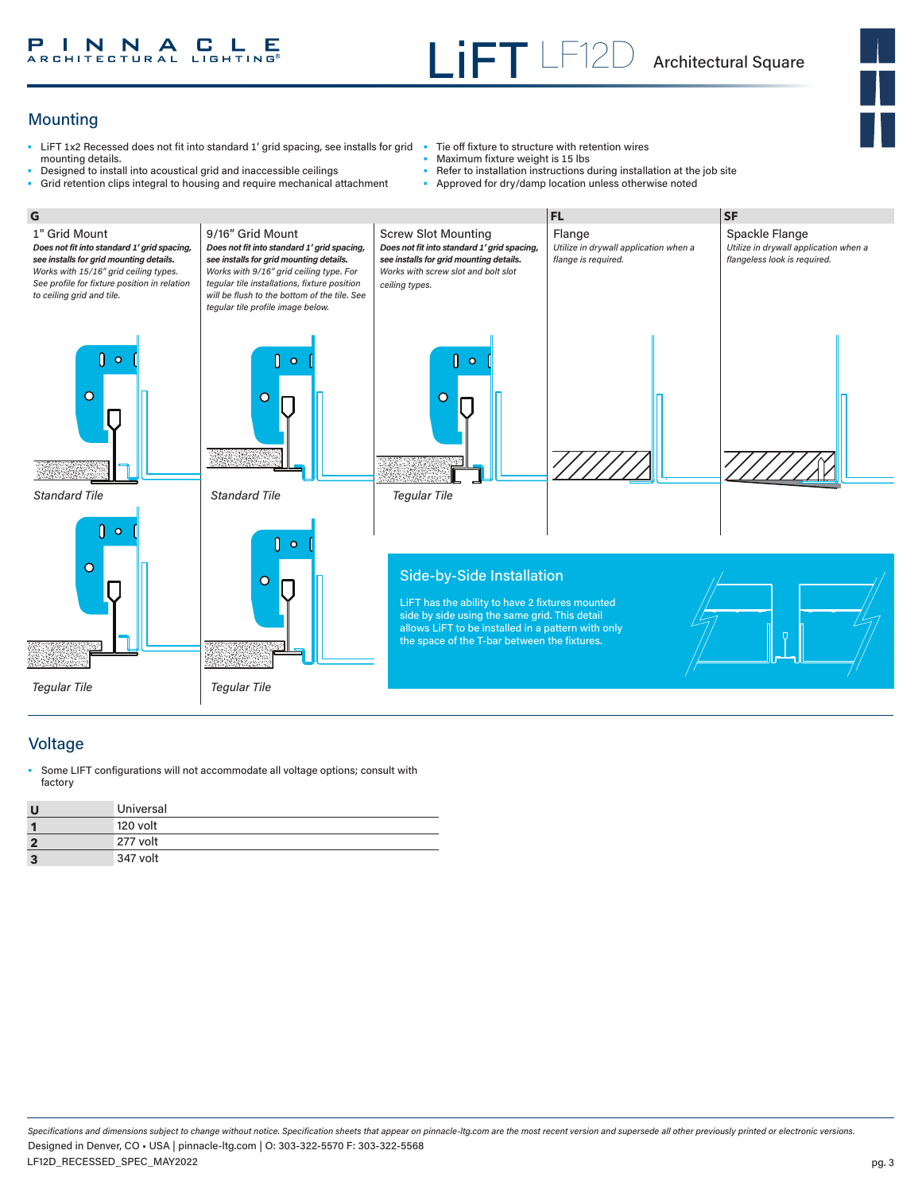#### **INNACLE**<br>RCHITECTURAL LIGHTING® Р

# Mounting

- LiFT 1x2 Recessed does not fit into standard 1' grid spacing, see installs for grid Tie off fixture to structure with retention wires mounting details.
- Designed to install into acoustical grid and inaccessible ceilings • Grid retention clips integral to housing and require mechanical attachment
- 
- Maximum fixture weight is 15 lbs
- Refer to installation instructions during installation at the job site
- Approved for dry/damp location unless otherwise noted



## Voltage

Some LIFT configurations will not accommodate all voltage options; consult with factory

| U | Universal |
|---|-----------|
|   | 120 volt  |
| 2 | 277 volt  |
| з | 347 volt  |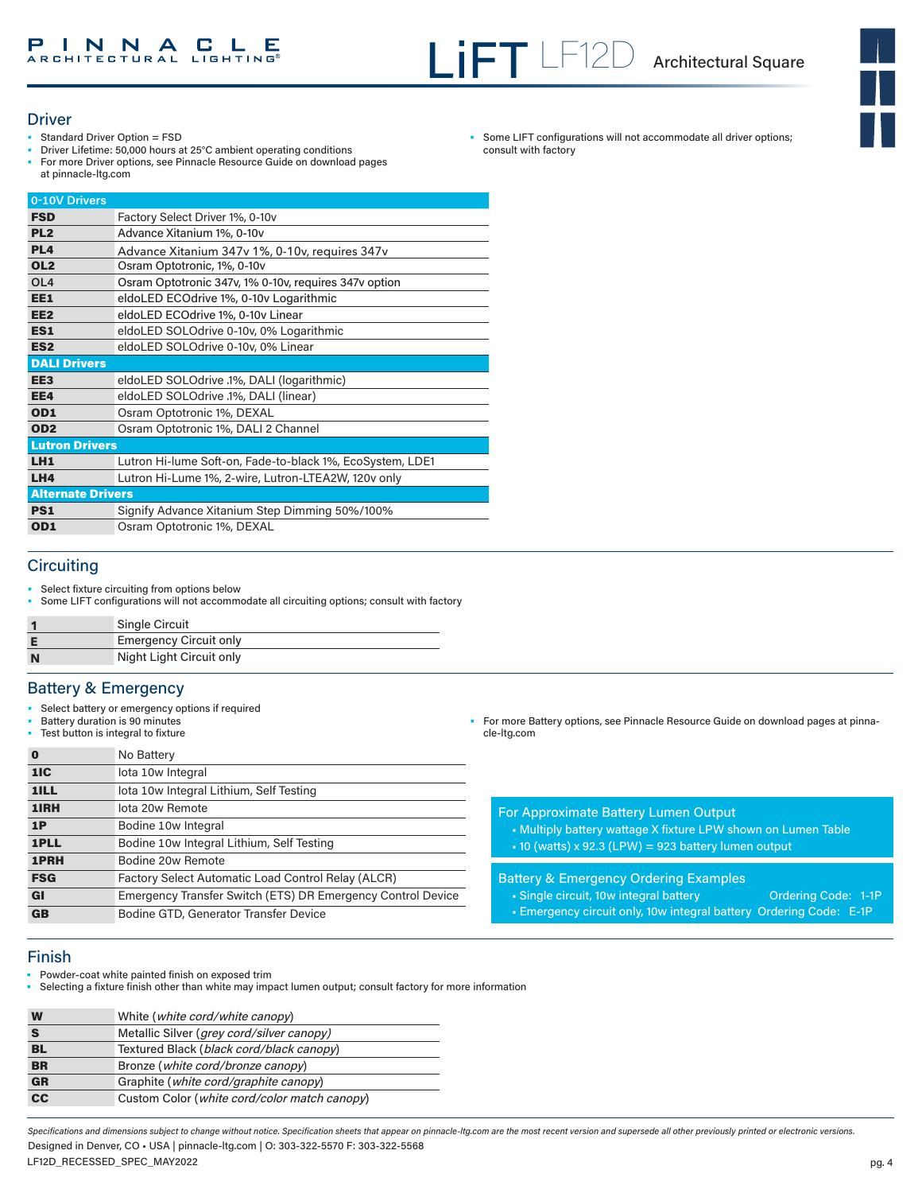• Some LIFT configurations will not accommodate all driver options;

consult with factory

#### **Driver**

- Standard Driver Option = FSD
- Driver Lifetime: 50,000 hours at 25°C ambient operating conditions
- For more Driver options, see Pinnacle Resource Guide on download pages at pinnacle-ltg.com

| 0-10V Drivers            |                                                           |
|--------------------------|-----------------------------------------------------------|
| <b>FSD</b>               | Factory Select Driver 1%, 0-10v                           |
| PL <sub>2</sub>          | Advance Xitanium 1%, 0-10v                                |
| PL <sub>4</sub>          | Advance Xitanium 347v 1%, 0-10v, requires 347v            |
| OL <sub>2</sub>          | Osram Optotronic, 1%, 0-10y                               |
| OL <sub>4</sub>          | Osram Optotronic 347v, 1% 0-10v, requires 347v option     |
| EE1                      | eldoLED ECOdrive 1%, 0-10v Logarithmic                    |
| EE <sub>2</sub>          | eldoLED ECOdrive 1%, 0-10v Linear                         |
| ES <sub>1</sub>          | eldoLED SOLOdrive 0-10v, 0% Logarithmic                   |
| ES <sub>2</sub>          | eldoLED SOLOdrive 0-10v, 0% Linear                        |
| <b>DALI Drivers</b>      |                                                           |
| EE <sub>3</sub>          | eldoLED SOLOdrive .1%, DALI (logarithmic)                 |
| EE4                      | eldoLED SOLOdrive .1%, DALI (linear)                      |
| OD <sub>1</sub>          | Osram Optotronic 1%, DEXAL                                |
| OD <sub>2</sub>          | Osram Optotronic 1%, DALI 2 Channel                       |
| <b>Lutron Drivers</b>    |                                                           |
| LH <sub>1</sub>          | Lutron Hi-lume Soft-on, Fade-to-black 1%, EcoSystem, LDE1 |
| LH4                      | Lutron Hi-Lume 1%, 2-wire, Lutron-LTEA2W, 120v only       |
| <b>Alternate Drivers</b> |                                                           |
| <b>PS1</b>               | Signify Advance Xitanium Step Dimming 50%/100%            |
| OD1                      | Osram Optotronic 1%, DEXAL                                |

## **Circuiting**

- Select fixture circuiting from options below
- Some LIFT configurations will not accommodate all circuiting options; consult with factory

|   | <b>Single Circuit</b>         |
|---|-------------------------------|
| F | <b>Emergency Circuit only</b> |
| N | Night Light Circuit only      |

## Battery & Emergency

- Select battery or emergency options if required
- Battery duration is 90 minutes
- Test button is integral to fixture

| 0          | No Battery                                                  |
|------------|-------------------------------------------------------------|
| 1IC        | lota 10w Integral                                           |
| 1ILL       | lota 10w Integral Lithium, Self Testing                     |
| 1IRH       | lota 20w Remote                                             |
| 1P         | Bodine 10w Integral                                         |
| 1PLL       | Bodine 10w Integral Lithium, Self Testing                   |
| 1PRH       | Bodine 20w Remote                                           |
| <b>FSG</b> | Factory Select Automatic Load Control Relay (ALCR)          |
| <b>GI</b>  | Emergency Transfer Switch (ETS) DR Emergency Control Device |
| <b>GB</b>  | Bodine GTD, Generator Transfer Device                       |

• For more Battery options, see Pinnacle Resource Guide on download pages at pinnacle-ltg.com

For Approximate Battery Lumen Output

• Multiply battery wattage X fixture LPW shown on Lumen Table • 10 (watts) x 92.3 (LPW) = 923 battery lumen output

Battery & Emergency Ordering Examples

- Single circuit, 10w integral battery **Ordering Code: 1-1P**
- Emergency circuit only, 10w integral battery Ordering Code: E-1P

- Finish
- Powder-coat white painted finish on exposed trim
- Selecting a fixture finish other than white may impact lumen output; consult factory for more information

| W         | White ( <i>white cord/white canopy</i> )           |
|-----------|----------------------------------------------------|
|           | Metallic Silver ( <i>grey cord/silver canopy</i> ) |
| BL        | Textured Black (black cord/black canopy)           |
| <b>BR</b> | Bronze (white cord/bronze canopy)                  |
| <b>GR</b> | Graphite ( <i>white cord/graphite canopy</i> )     |
| cc        | Custom Color (white cord/color match canopy)       |

Specifications and dimensions subject to change without notice. Specification sheets that appear on pinnacle-ltg.com are the most recent version and supersede all other previously printed or electronic versions. Designed in Denver, CO • USA | pinnacle-ltg.com | O: 303-322-5570 F: 303-322-5568